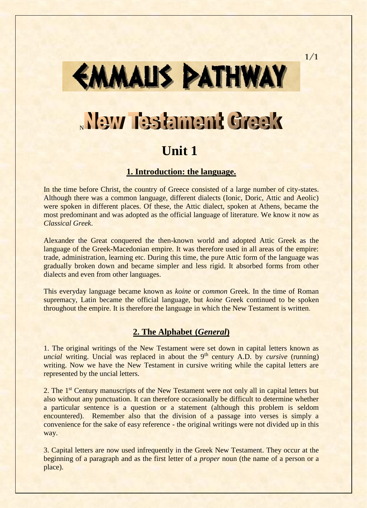# EMMALIS PATHWAY New Testament Greek **Unit 1**

## **1. Introduction: the language.**

In the time before Christ, the country of Greece consisted of a large number of city-states. Although there was a common language, different dialects (Ionic, Doric, Attic and Aeolic) were spoken in different places. Of these, the Attic dialect, spoken at Athens, became the most predominant and was adopted as the official language of literature. We know it now as *Classical Greek*.

Alexander the Great conquered the then-known world and adopted Attic Greek as the language of the Greek-Macedonian empire. It was therefore used in all areas of the empire: trade, administration, learning etc. During this time, the pure Attic form of the language was gradually broken down and became simpler and less rigid. It absorbed forms from other dialects and even from other languages.

This everyday language became known as *koine* or *common* Greek. In the time of Roman supremacy, Latin became the official language, but *koine* Greek continued to be spoken throughout the empire. It is therefore the language in which the New Testament is written.

### **2. The Alphabet (***General***)**

1. The original writings of the New Testament were set down in capital letters known as *uncial* writing. Uncial was replaced in about the 9<sup>th</sup> century A.D. by *cursive* (running) writing. Now we have the New Testament in cursive writing while the capital letters are represented by the uncial letters.

2. The 1<sup>st</sup> Century manuscripts of the New Testament were not only all in capital letters but also without any punctuation. It can therefore occasionally be difficult to determine whether a particular sentence is a question or a statement (although this problem is seldom encountered). Remember also that the division of a passage into verses is simply a convenience for the sake of easy reference - the original writings were not divided up in this way.

3. Capital letters are now used infrequently in the Greek New Testament. They occur at the beginning of a paragraph and as the first letter of a *proper* noun (the name of a person or a place).

1/1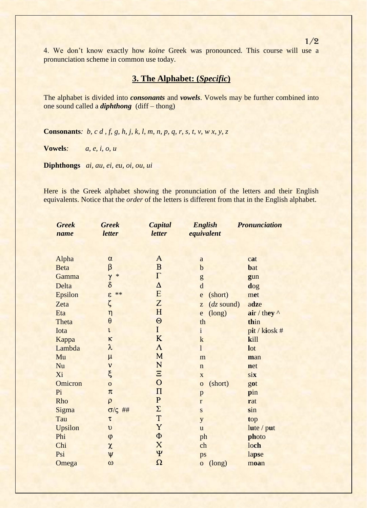4. We don't know exactly how *koine* Greek was pronounced. This course will use a pronunciation scheme in common use today.

## **3. The Alphabet: (***Specific***)**

The alphabet is divided into *consonants* and *vowels*. Vowels may be further combined into one sound called a *diphthong* (diff – thong)

**Consonants***: b, c d , f, g, h, j, k, l, m, n, p, q, r, s, t, v, w x, y, z*

**Vowels***: a, e, i, o, u*

**Diphthongs** *ai, au, ei, eu, oi, ou, ui*

Here is the Greek alphabet showing the pronunciation of the letters and their English equivalents. Notice that the *order* of the letters is different from that in the English alphabet.

| <b>Greek</b> | <b>Greek</b>       | Capital        | <b>English</b>         | <b>Pronunciation</b>           |
|--------------|--------------------|----------------|------------------------|--------------------------------|
| name         | letter             | letter         | equivalent             |                                |
|              |                    |                |                        |                                |
|              |                    |                |                        |                                |
| Alpha        | $\alpha$           | A              | $\rm{a}$               | cat                            |
| <b>Beta</b>  | β                  | $\mathbf{B}$   | $\mathbf b$            | bat                            |
| Gamma        | $\gamma$<br>$\ast$ | $\Gamma$       | ${\sf g}$              | gun                            |
| Delta        | $\delta$           | $\Delta$       | $\mathbf d$            | dog                            |
| Epsilon      | $**$<br>$\epsilon$ | E              | (short)<br>e           | met                            |
| Zeta         | ζ                  | Z              | $(dz$ sound)<br>Z      | adze                           |
| Eta          | $\eta$             | H              | (long)<br>e            | $\mathbf{air} / \mathbf{they}$ |
| Theta        | $\theta$           | $\Theta$       | th                     | thin                           |
| Iota         | $\iota$            | $\mathbf{I}$   | $\mathbf{i}$           | pit / kiosk #                  |
| Kappa        | κ                  | K              | $\mathbf k$            | kill                           |
| Lambda       | $\lambda$          | $\Lambda$      | $\mathbf{1}$           | lot                            |
| Mu           | $\mu$              | M              | m                      | man                            |
| Nu           | $\mathbf v$        | N              | $\mathbf n$            | net                            |
| Xi           | $\xi$              | $\Xi$          | $\mathbf X$            | $s$ <b>ix</b>                  |
| Omicron      | $\overline{O}$     | $\overline{O}$ | (short)<br>$\mathbf 0$ | got                            |
| Pi           | $\pi$              | $\Pi$          | p                      | pin                            |
| Rho          | $\rho$             | ${\bf P}$      | $\mathbf r$            | rat                            |
| Sigma        | $\sigma/\zeta$ ##  | $\Sigma$       | ${\bf S}$              | sin                            |
| Tau          | $\tau$             | T              | y                      | top                            |
| Upsilon      | $\upsilon$         | Y              | u                      | lute / put                     |
| Phi          | $\phi$             | $\Phi$         | ph                     | photo                          |
| Chi          | $\pmb{\chi}$       | X              | ch                     | loch                           |
| Psi          | $\Psi$             | $\Psi$         | ps                     | lapse                          |
| Omega        | $\omega$           | $\Omega$       | (long)<br>$\mathbf{o}$ | moan                           |

1/2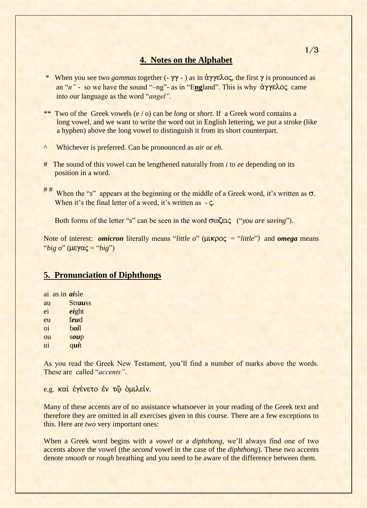### **4. Notes on the Alphabet**

- \* When you see two *gammas* together  $(-\gamma\gamma )$  as in  $\alpha\gamma\gamma\epsilon\lambda o\zeta$ , the first  $\gamma$  is pronounced as an " $n$ " - so we have the sound "–ng"- as in "England". This is why  $\frac{\partial y}{\partial y} \frac{\partial \zeta}{\partial x}$  came into our language as the word "*angel".*
- \*\* Two of the Greek vowels (e / o) can be *long* or *short*. If a Greek word contains a long vowel, and we want to write the word out in English lettering, we put a stroke (like a hyphen) above the long vowel to distinguish it from its short counterpart.
- ^ Whichever is preferred. Can be pronounced as *air* or *eh.*
- # The sound of this vowel can be lengthened naturally from *i* to *ee* depending on its position in a word.
- $#$ # When the "s" appears at the beginning or the middle of a Greek word, it's written as  $\sigma$ . When it's the final letter of a word, it's written as  $-\zeta$ .

Both forms of the letter "*s*" can be seen in the word  $\sigma \omega$  ("*you are saving*").

Note of interest: *omicron* literally means "*little o*" ( $\mu$ Kpo $\zeta$  = "*little*") and *omega* means "*big*  $o$ *"* ( $\mu \varepsilon \gamma \alpha \zeta =$  "*big*")

### **5. Pronunciation of Diphthongs**

| ai as in <i>ai</i> sle |                |
|------------------------|----------------|
| au                     | <b>Strauss</b> |
| ei                     | eight          |
| eu                     | feud           |
| oi                     | boil           |
| ou                     | soup           |
| ui                     | quit           |

As you read the Greek New Testament, you'll find a number of marks above the words. These are called "*accents"*.

e.g. kai έγένετο έν τω δμιλείν.

Many of these accents are of no assistance whatsoever in your reading of the Greek text and therefore they are omitted in all exercises given in this course. There are a few exceptions to this. Here are *two* very important ones:

When a Greek word begins with a *vowel* or a *diphthong*, we'll always find one of two accents above the vowel (the *second* vowel in the case of the *diphthong*). These two accents denote *smooth* or *rough* breathing and you need to be aware of the difference between them.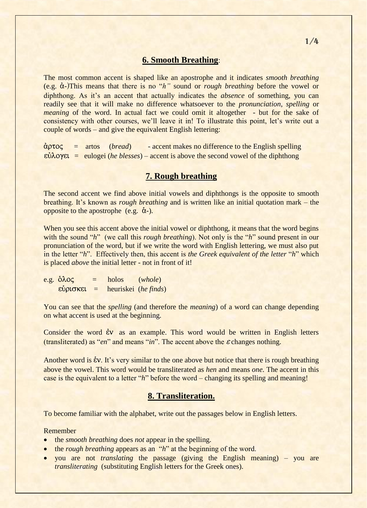#### **6. Smooth Breathing**:

The most common accent is shaped like an apostrophe and it indicates *smooth breathing* (e.g.  $\alpha$ -)This means that there is no "*h*" sound or *rough breathing* before the vowel or diphthong. As it's an accent that actually indicates the *absence* of something, you can readily see that it will make no difference whatsoever to the *pronunciation*, *spelling* or *meaning* of the word. In actual fact we could omit it altogether - but for the sake of consistency with other courses, we'll leave it in! To illustrate this point, let's write out a couple of words – and give the equivalent English lettering:

¶rtoj = artos (*bread*) - accent makes no difference to the English spelling  $\epsilon \dot{\Omega}$  and  $\delta \epsilon$  = eulogei (*he blesses*) – accent is above the second vowel of the diphthong

#### **7. Rough breathing**

The second accent we find above initial vowels and diphthongs is the opposite to smooth breathing. It's known as *rough breathing* and is written like an initial quotation mark – the opposite to the apostrophe (e.g.  $\dot{\alpha}$ ).

When you see this accent above the initial yowel or diphthong, it means that the word begins with the sound "*h*" (we call this *rough breathing*). Not only is the "*h*" sound present in our pronunciation of the word, but if we write the word with English lettering, we must also put in the letter "*h*". Effectively then, this accent is *the Greek equivalent of the letter* "*h*" which is placed *above* the initial letter - not in front of it!

 $e.g. \, \, \delta \lambda \circ \zeta = \, \text{holos} \, \, (whole)$ e¤riskei = heuriskei (*he finds*)

You can see that the *spelling* (and therefore the *meaning*) of a word can change depending on what accent is used at the beginning.

Consider the word  $\dot{\epsilon}v$  as an example. This word would be written in English letters (transliterated) as "*en*" and means "*in*". The accent above the  $\varepsilon$  changes nothing.

Another word is  $\&v$ . It's very similar to the one above but notice that there is rough breathing above the vowel. This word would be transliterated as *hen* and means *one*. The accent in this case is the equivalent to a letter "*h*" before the word – changing its spelling and meaning!

### **8. Transliteration.**

To become familiar with the alphabet, write out the passages below in English letters.

#### Remember

- the *smooth breathing* does *not* appear in the spelling.
- the *rough breathing* appears as an "*h*" at the beginning of the word.
- you are not *translating* the passage (giving the English meaning) you are *transliterating* (substituting English letters for the Greek ones).